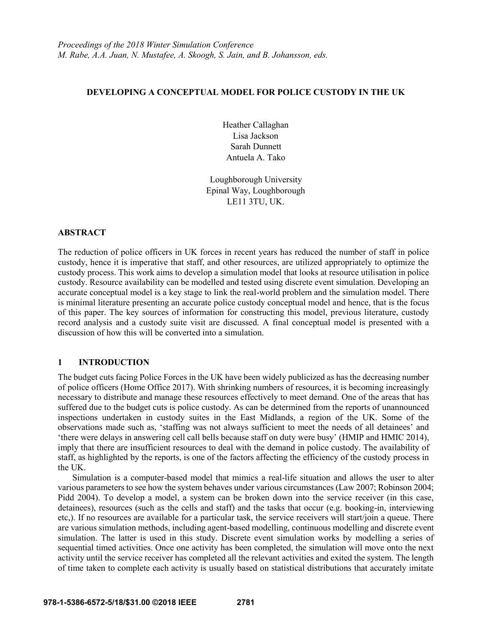# **DEVELOPING A CONCEPTUAL MODEL FOR POLICE CUSTODY IN THE UK**

Heather Callaghan Lisa Jackson Sarah Dunnett Antuela A. Tako

Loughborough University Epinal Way, Loughborough LE11 3TU, UK.

### **ABSTRACT**

The reduction of police officers in UK forces in recent years has reduced the number of staff in police custody, hence it is imperative that staff, and other resources, are utilized appropriately to optimize the custody process. This work aims to develop a simulation model that looks at resource utilisation in police custody. Resource availability can be modelled and tested using discrete event simulation. Developing an accurate conceptual model is a key stage to link the real-world problem and the simulation model. There is minimal literature presenting an accurate police custody conceptual model and hence, that is the focus of this paper. The key sources of information for constructing this model, previous literature, custody record analysis and a custody suite visit are discussed. A final conceptual model is presented with a discussion of how this will be converted into a simulation.

# **1 INTRODUCTION**

The budget cuts facing Police Forces in the UK have been widely publicized as has the decreasing number of police officers (Home Office 2017). With shrinking numbers of resources, it is becoming increasingly necessary to distribute and manage these resources effectively to meet demand. One of the areas that has suffered due to the budget cuts is police custody. As can be determined from the reports of unannounced inspections undertaken in custody suites in the East Midlands, a region of the UK. Some of the observations made such as, 'staffing was not always sufficient to meet the needs of all detainees' and 'there were delays in answering cell call bells because staff on duty were busy' (HMIP and HMIC 2014), imply that there are insufficient resources to deal with the demand in police custody. The availability of staff, as highlighted by the reports, is one of the factors affecting the efficiency of the custody process in the UK.

Simulation is a computer-based model that mimics a real-life situation and allows the user to alter various parameters to see how the system behaves under various circumstances (Law 2007; Robinson 2004; Pidd 2004). To develop a model, a system can be broken down into the service receiver (in this case, detainees), resources (such as the cells and staff) and the tasks that occur (e.g. booking-in, interviewing etc,). If no resources are available for a particular task, the service receivers will start/join a queue. There are various simulation methods, including agent-based modelling, continuous modelling and discrete event simulation. The latter is used in this study. Discrete event simulation works by modelling a series of sequential timed activities. Once one activity has been completed, the simulation will move onto the next activity until the service receiver has completed all the relevant activities and exited the system. The length of time taken to complete each activity is usually based on statistical distributions that accurately imitate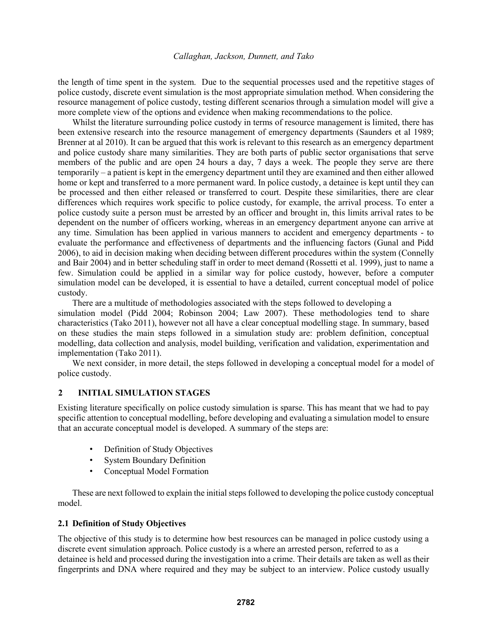the length of time spent in the system. Due to the sequential processes used and the repetitive stages of police custody, discrete event simulation is the most appropriate simulation method. When considering the resource management of police custody, testing different scenarios through a simulation model will give a more complete view of the options and evidence when making recommendations to the police.

Whilst the literature surrounding police custody in terms of resource management is limited, there has been extensive research into the resource management of emergency departments (Saunders et al 1989; Brenner at al 2010). It can be argued that this work is relevant to this research as an emergency department and police custody share many similarities. They are both parts of public sector organisations that serve members of the public and are open 24 hours a day, 7 days a week. The people they serve are there temporarily – a patient is kept in the emergency department until they are examined and then either allowed home or kept and transferred to a more permanent ward. In police custody, a detainee is kept until they can be processed and then either released or transferred to court. Despite these similarities, there are clear differences which requires work specific to police custody, for example, the arrival process. To enter a police custody suite a person must be arrested by an officer and brought in, this limits arrival rates to be dependent on the number of officers working, whereas in an emergency department anyone can arrive at any time. Simulation has been applied in various manners to accident and emergency departments - to evaluate the performance and effectiveness of departments and the influencing factors (Gunal and Pidd 2006), to aid in decision making when deciding between different procedures within the system (Connelly and Bair 2004) and in better scheduling staff in order to meet demand (Rossetti et al. 1999), just to name a few. Simulation could be applied in a similar way for police custody, however, before a computer simulation model can be developed, it is essential to have a detailed, current conceptual model of police custody.

There are a multitude of methodologies associated with the steps followed to developing a simulation model (Pidd 2004; Robinson 2004; Law 2007). These methodologies tend to share characteristics (Tako 2011), however not all have a clear conceptual modelling stage. In summary, based on these studies the main steps followed in a simulation study are: problem definition, conceptual modelling, data collection and analysis, model building, verification and validation, experimentation and implementation (Tako 2011).

We next consider, in more detail, the steps followed in developing a conceptual model for a model of police custody.

# **2 INITIAL SIMULATION STAGES**

Existing literature specifically on police custody simulation is sparse. This has meant that we had to pay specific attention to conceptual modelling, before developing and evaluating a simulation model to ensure that an accurate conceptual model is developed. A summary of the steps are:

- Definition of Study Objectives
- **System Boundary Definition**
- Conceptual Model Formation

These are next followed to explain the initial steps followed to developing the police custody conceptual model.

### **2.1 Definition of Study Objectives**

The objective of this study is to determine how best resources can be managed in police custody using a discrete event simulation approach. Police custody is a where an arrested person, referred to as a detainee is held and processed during the investigation into a crime. Their details are taken as well as their fingerprints and DNA where required and they may be subject to an interview. Police custody usually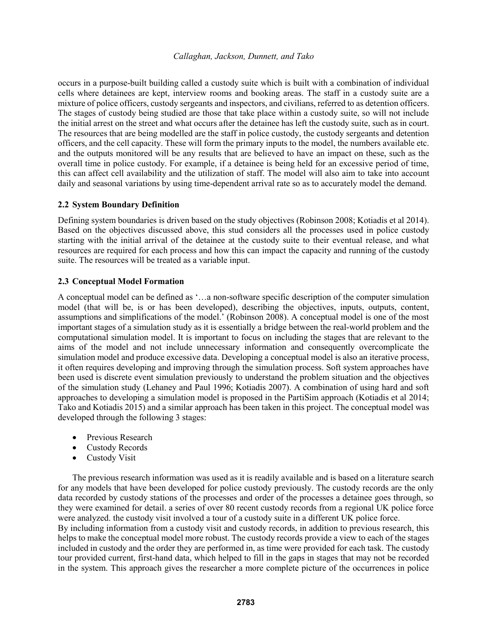occurs in a purpose-built building called a custody suite which is built with a combination of individual cells where detainees are kept, interview rooms and booking areas. The staff in a custody suite are a mixture of police officers, custody sergeants and inspectors, and civilians, referred to as detention officers. The stages of custody being studied are those that take place within a custody suite, so will not include the initial arrest on the street and what occurs after the detainee has left the custody suite, such as in court. The resources that are being modelled are the staff in police custody, the custody sergeants and detention officers, and the cell capacity. These will form the primary inputs to the model, the numbers available etc. and the outputs monitored will be any results that are believed to have an impact on these, such as the overall time in police custody. For example, if a detainee is being held for an excessive period of time, this can affect cell availability and the utilization of staff. The model will also aim to take into account daily and seasonal variations by using time-dependent arrival rate so as to accurately model the demand.

## **2.2 System Boundary Definition**

Defining system boundaries is driven based on the study objectives (Robinson 2008; Kotiadis et al 2014). Based on the objectives discussed above, this stud considers all the processes used in police custody starting with the initial arrival of the detainee at the custody suite to their eventual release, and what resources are required for each process and how this can impact the capacity and running of the custody suite. The resources will be treated as a variable input.

## **2.3 Conceptual Model Formation**

A conceptual model can be defined as '…a non-software specific description of the computer simulation model (that will be, is or has been developed), describing the objectives, inputs, outputs, content, assumptions and simplifications of the model.' (Robinson 2008). A conceptual model is one of the most important stages of a simulation study as it is essentially a bridge between the real-world problem and the computational simulation model. It is important to focus on including the stages that are relevant to the aims of the model and not include unnecessary information and consequently overcomplicate the simulation model and produce excessive data. Developing a conceptual model is also an iterative process, it often requires developing and improving through the simulation process. Soft system approaches have been used is discrete event simulation previously to understand the problem situation and the objectives of the simulation study (Lehaney and Paul 1996; Kotiadis 2007). A combination of using hard and soft approaches to developing a simulation model is proposed in the PartiSim approach (Kotiadis et al 2014; Tako and Kotiadis 2015) and a similar approach has been taken in this project. The conceptual model was developed through the following 3 stages:

- Previous Research
- Custody Records
- Custody Visit

The previous research information was used as it is readily available and is based on a literature search for any models that have been developed for police custody previously. The custody records are the only data recorded by custody stations of the processes and order of the processes a detainee goes through, so they were examined for detail. a series of over 80 recent custody records from a regional UK police force were analyzed. the custody visit involved a tour of a custody suite in a different UK police force.

By including information from a custody visit and custody records, in addition to previous research, this helps to make the conceptual model more robust. The custody records provide a view to each of the stages included in custody and the order they are performed in, as time were provided for each task. The custody tour provided current, first-hand data, which helped to fill in the gaps in stages that may not be recorded in the system. This approach gives the researcher a more complete picture of the occurrences in police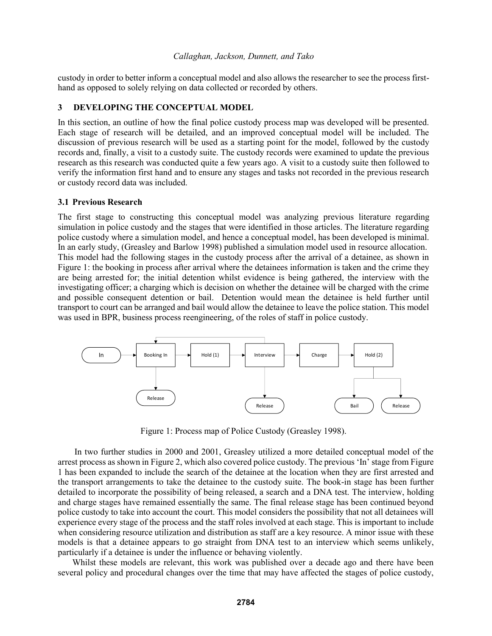custody in order to better inform a conceptual model and also allows the researcher to see the process firsthand as opposed to solely relying on data collected or recorded by others.

## **3 DEVELOPING THE CONCEPTUAL MODEL**

In this section, an outline of how the final police custody process map was developed will be presented. Each stage of research will be detailed, and an improved conceptual model will be included. The discussion of previous research will be used as a starting point for the model, followed by the custody records and, finally, a visit to a custody suite. The custody records were examined to update the previous research as this research was conducted quite a few years ago. A visit to a custody suite then followed to verify the information first hand and to ensure any stages and tasks not recorded in the previous research or custody record data was included.

## **3.1 Previous Research**

The first stage to constructing this conceptual model was analyzing previous literature regarding simulation in police custody and the stages that were identified in those articles. The literature regarding police custody where a simulation model, and hence a conceptual model, has been developed is minimal. In an early study, (Greasley and Barlow 1998) published a simulation model used in resource allocation. This model had the following stages in the custody process after the arrival of a detainee, as shown in Figure 1: the booking in process after arrival where the detainees information is taken and the crime they are being arrested for; the initial detention whilst evidence is being gathered, the interview with the investigating officer; a charging which is decision on whether the detainee will be charged with the crime and possible consequent detention or bail. Detention would mean the detainee is held further until transport to court can be arranged and bail would allow the detainee to leave the police station. This model was used in BPR, business process reengineering, of the roles of staff in police custody.



Figure 1: Process map of Police Custody (Greasley 1998).

In two further studies in 2000 and 2001, Greasley utilized a more detailed conceptual model of the arrest process as shown in Figure 2, which also covered police custody. The previous 'In' stage from Figure 1 has been expanded to include the search of the detainee at the location when they are first arrested and the transport arrangements to take the detainee to the custody suite. The book-in stage has been further detailed to incorporate the possibility of being released, a search and a DNA test. The interview, holding and charge stages have remained essentially the same. The final release stage has been continued beyond police custody to take into account the court. This model considers the possibility that not all detainees will experience every stage of the process and the staff roles involved at each stage. This is important to include when considering resource utilization and distribution as staff are a key resource. A minor issue with these models is that a detainee appears to go straight from DNA test to an interview which seems unlikely, particularly if a detainee is under the influence or behaving violently.

Whilst these models are relevant, this work was published over a decade ago and there have been several policy and procedural changes over the time that may have affected the stages of police custody,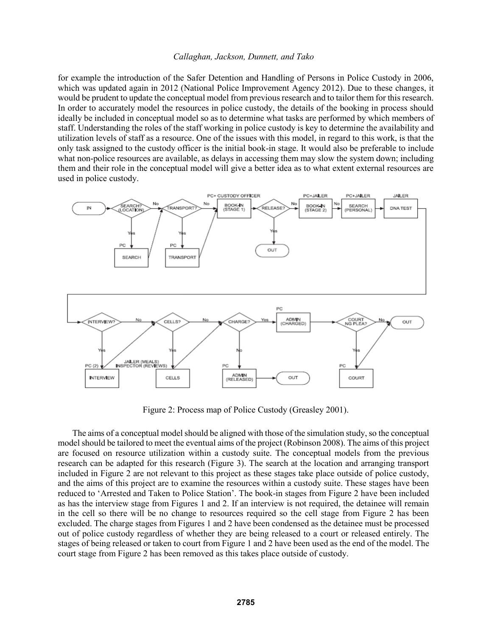for example the introduction of the Safer Detention and Handling of Persons in Police Custody in 2006, which was updated again in 2012 (National Police Improvement Agency 2012). Due to these changes, it would be prudent to update the conceptual model from previous research and to tailor them for this research. In order to accurately model the resources in police custody, the details of the booking in process should ideally be included in conceptual model so as to determine what tasks are performed by which members of staff. Understanding the roles of the staff working in police custody is key to determine the availability and utilization levels of staff as a resource. One of the issues with this model, in regard to this work, is that the only task assigned to the custody officer is the initial book-in stage. It would also be preferable to include what non-police resources are available, as delays in accessing them may slow the system down; including them and their role in the conceptual model will give a better idea as to what extent external resources are used in police custody.



Figure 2: Process map of Police Custody (Greasley 2001).

The aims of a conceptual model should be aligned with those of the simulation study, so the conceptual model should be tailored to meet the eventual aims of the project (Robinson 2008). The aims of this project are focused on resource utilization within a custody suite. The conceptual models from the previous research can be adapted for this research (Figure 3). The search at the location and arranging transport included in Figure 2 are not relevant to this project as these stages take place outside of police custody, and the aims of this project are to examine the resources within a custody suite. These stages have been reduced to 'Arrested and Taken to Police Station'. The book-in stages from Figure 2 have been included as has the interview stage from Figures 1 and 2. If an interview is not required, the detainee will remain in the cell so there will be no change to resources required so the cell stage from Figure 2 has been excluded. The charge stages from Figures 1 and 2 have been condensed as the detainee must be processed out of police custody regardless of whether they are being released to a court or released entirely. The stages of being released or taken to court from Figure 1 and 2 have been used as the end of the model. The court stage from Figure 2 has been removed as this takes place outside of custody.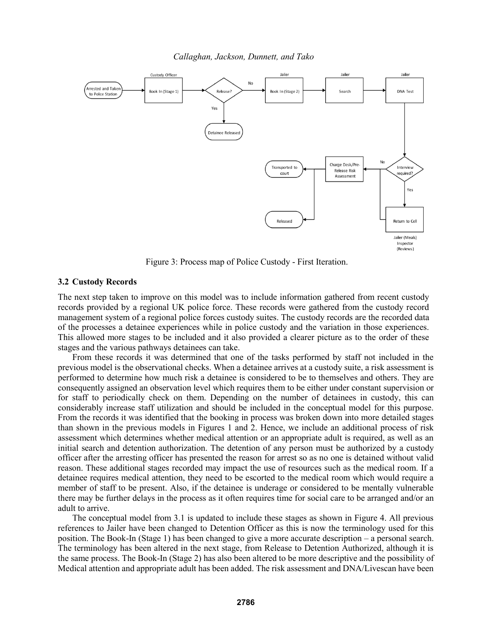

Figure 3: Process map of Police Custody - First Iteration.

### **3.2 Custody Records**

The next step taken to improve on this model was to include information gathered from recent custody records provided by a regional UK police force. These records were gathered from the custody record management system of a regional police forces custody suites. The custody records are the recorded data of the processes a detainee experiences while in police custody and the variation in those experiences. This allowed more stages to be included and it also provided a clearer picture as to the order of these stages and the various pathways detainees can take.

From these records it was determined that one of the tasks performed by staff not included in the previous model is the observational checks. When a detainee arrives at a custody suite, a risk assessment is performed to determine how much risk a detainee is considered to be to themselves and others. They are consequently assigned an observation level which requires them to be either under constant supervision or for staff to periodically check on them. Depending on the number of detainees in custody, this can considerably increase staff utilization and should be included in the conceptual model for this purpose. From the records it was identified that the booking in process was broken down into more detailed stages than shown in the previous models in Figures 1 and 2. Hence, we include an additional process of risk assessment which determines whether medical attention or an appropriate adult is required, as well as an initial search and detention authorization. The detention of any person must be authorized by a custody officer after the arresting officer has presented the reason for arrest so as no one is detained without valid reason. These additional stages recorded may impact the use of resources such as the medical room. If a detainee requires medical attention, they need to be escorted to the medical room which would require a member of staff to be present. Also, if the detainee is underage or considered to be mentally vulnerable there may be further delays in the process as it often requires time for social care to be arranged and/or an adult to arrive.

The conceptual model from 3.1 is updated to include these stages as shown in Figure 4. All previous references to Jailer have been changed to Detention Officer as this is now the terminology used for this position. The Book-In (Stage 1) has been changed to give a more accurate description – a personal search. The terminology has been altered in the next stage, from Release to Detention Authorized, although it is the same process. The Book-In (Stage 2) has also been altered to be more descriptive and the possibility of Medical attention and appropriate adult has been added. The risk assessment and DNA/Livescan have been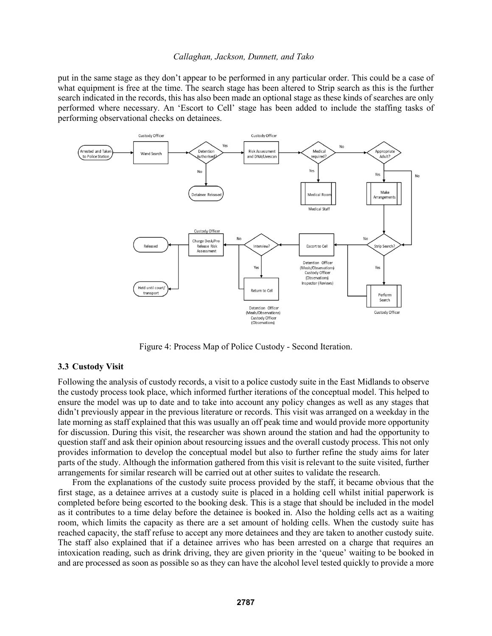put in the same stage as they don't appear to be performed in any particular order. This could be a case of what equipment is free at the time. The search stage has been altered to Strip search as this is the further search indicated in the records, this has also been made an optional stage as these kinds of searches are only performed where necessary. An 'Escort to Cell' stage has been added to include the staffing tasks of performing observational checks on detainees.



Figure 4: Process Map of Police Custody - Second Iteration.

### **3.3 Custody Visit**

Following the analysis of custody records, a visit to a police custody suite in the East Midlands to observe the custody process took place, which informed further iterations of the conceptual model. This helped to ensure the model was up to date and to take into account any policy changes as well as any stages that didn't previously appear in the previous literature or records. This visit was arranged on a weekday in the late morning as staff explained that this was usually an off peak time and would provide more opportunity for discussion. During this visit, the researcher was shown around the station and had the opportunity to question staff and ask their opinion about resourcing issues and the overall custody process. This not only provides information to develop the conceptual model but also to further refine the study aims for later parts of the study. Although the information gathered from this visit is relevant to the suite visited, further arrangements for similar research will be carried out at other suites to validate the research.

From the explanations of the custody suite process provided by the staff, it became obvious that the first stage, as a detainee arrives at a custody suite is placed in a holding cell whilst initial paperwork is completed before being escorted to the booking desk. This is a stage that should be included in the model as it contributes to a time delay before the detainee is booked in. Also the holding cells act as a waiting room, which limits the capacity as there are a set amount of holding cells. When the custody suite has reached capacity, the staff refuse to accept any more detainees and they are taken to another custody suite. The staff also explained that if a detainee arrives who has been arrested on a charge that requires an intoxication reading, such as drink driving, they are given priority in the 'queue' waiting to be booked in and are processed as soon as possible so as they can have the alcohol level tested quickly to provide a more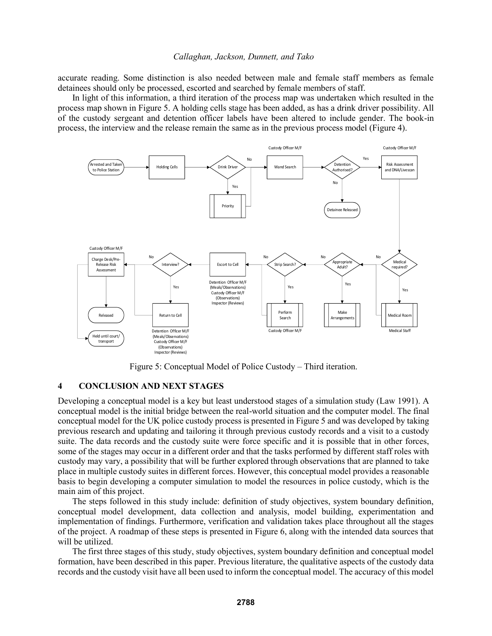accurate reading. Some distinction is also needed between male and female staff members as female detainees should only be processed, escorted and searched by female members of staff.

In light of this information, a third iteration of the process map was undertaken which resulted in the process map shown in Figure 5. A holding cells stage has been added, as has a drink driver possibility. All of the custody sergeant and detention officer labels have been altered to include gender. The book-in process, the interview and the release remain the same as in the previous process model (Figure 4).



Figure 5: Conceptual Model of Police Custody – Third iteration.

### **4 CONCLUSION AND NEXT STAGES**

Developing a conceptual model is a key but least understood stages of a simulation study (Law 1991). A conceptual model is the initial bridge between the real-world situation and the computer model. The final conceptual model for the UK police custody process is presented in Figure 5 and was developed by taking previous research and updating and tailoring it through previous custody records and a visit to a custody suite. The data records and the custody suite were force specific and it is possible that in other forces, some of the stages may occur in a different order and that the tasks performed by different staff roles with custody may vary, a possibility that will be further explored through observations that are planned to take place in multiple custody suites in different forces. However, this conceptual model provides a reasonable basis to begin developing a computer simulation to model the resources in police custody, which is the main aim of this project.

The steps followed in this study include: definition of study objectives, system boundary definition, conceptual model development, data collection and analysis, model building, experimentation and implementation of findings. Furthermore, verification and validation takes place throughout all the stages of the project. A roadmap of these steps is presented in Figure 6, along with the intended data sources that will be utilized.

The first three stages of this study, study objectives, system boundary definition and conceptual model formation, have been described in this paper. Previous literature, the qualitative aspects of the custody data records and the custody visit have all been used to inform the conceptual model. The accuracy of this model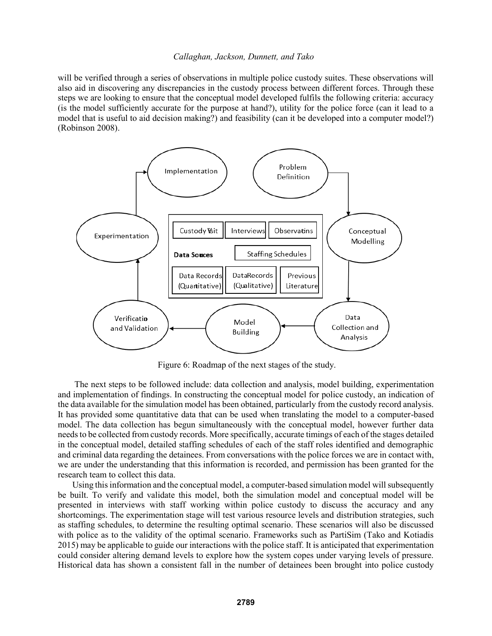will be verified through a series of observations in multiple police custody suites. These observations will also aid in discovering any discrepancies in the custody process between different forces. Through these steps we are looking to ensure that the conceptual model developed fulfils the following criteria: accuracy (is the model sufficiently accurate for the purpose at hand?), utility for the police force (can it lead to a model that is useful to aid decision making?) and feasibility (can it be developed into a computer model?) (Robinson 2008).



Figure 6: Roadmap of the next stages of the study.

The next steps to be followed include: data collection and analysis, model building, experimentation and implementation of findings. In constructing the conceptual model for police custody, an indication of the data available for the simulation model has been obtained, particularly from the custody record analysis. It has provided some quantitative data that can be used when translating the model to a computer-based model. The data collection has begun simultaneously with the conceptual model, however further data needs to be collected from custody records. More specifically, accurate timings of each of the stages detailed in the conceptual model, detailed staffing schedules of each of the staff roles identified and demographic and criminal data regarding the detainees. From conversations with the police forces we are in contact with, we are under the understanding that this information is recorded, and permission has been granted for the research team to collect this data.

Using this information and the conceptual model, a computer-based simulation model will subsequently be built. To verify and validate this model, both the simulation model and conceptual model will be presented in interviews with staff working within police custody to discuss the accuracy and any shortcomings. The experimentation stage will test various resource levels and distribution strategies, such as staffing schedules, to determine the resulting optimal scenario. These scenarios will also be discussed with police as to the validity of the optimal scenario. Frameworks such as PartiSim (Tako and Kotiadis 2015) may be applicable to guide our interactions with the police staff. It is anticipated that experimentation could consider altering demand levels to explore how the system copes under varying levels of pressure. Historical data has shown a consistent fall in the number of detainees been brought into police custody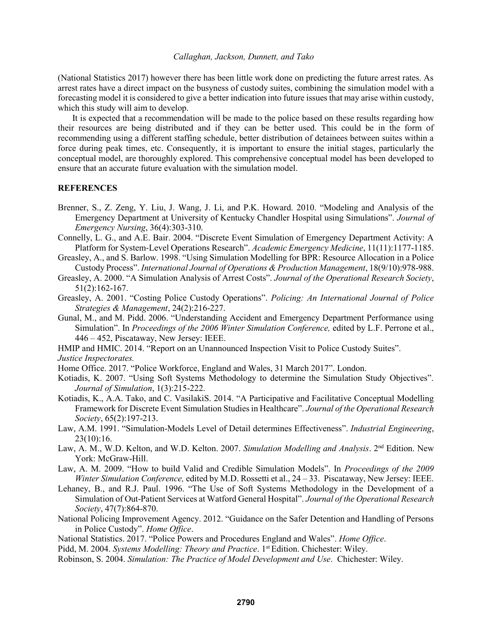(National Statistics 2017) however there has been little work done on predicting the future arrest rates. As arrest rates have a direct impact on the busyness of custody suites, combining the simulation model with a forecasting model it is considered to give a better indication into future issues that may arise within custody, which this study will aim to develop.

It is expected that a recommendation will be made to the police based on these results regarding how their resources are being distributed and if they can be better used. This could be in the form of recommending using a different staffing schedule, better distribution of detainees between suites within a force during peak times, etc. Consequently, it is important to ensure the initial stages, particularly the conceptual model, are thoroughly explored. This comprehensive conceptual model has been developed to ensure that an accurate future evaluation with the simulation model.

### **REFERENCES**

- Brenner, S., Z. Zeng, Y. Liu, J. Wang, J. Li, and P.K. Howard. 2010. "Modeling and Analysis of the Emergency Department at University of Kentucky Chandler Hospital using Simulations". *Journal of Emergency Nursing*, 36(4):303-310.
- Connelly, L. G., and A.E. Bair. 2004. "Discrete Event Simulation of Emergency Department Activity: A Platform for System‐Level Operations Research". *Academic Emergency Medicine*, 11(11):1177-1185.
- Greasley, A., and S. Barlow. 1998. "Using Simulation Modelling for BPR: Resource Allocation in a Police Custody Process". *International Journal of Operations & Production Management*, 18(9/10):978-988.
- Greasley, A. 2000. "A Simulation Analysis of Arrest Costs". *Journal of the Operational Research Society*, 51(2):162-167.
- Greasley, A. 2001. "Costing Police Custody Operations". *Policing: An International Journal of Police Strategies & Management*, 24(2):216-227.
- Gunal, M., and M. Pidd. 2006. "Understanding Accident and Emergency Department Performance using Simulation". In *Proceedings of the 2006 Winter Simulation Conference,* edited by L.F. Perrone et al., 446 – 452, Piscataway, New Jersey: IEEE.
- HMIP and HMIC. 2014. "Report on an Unannounced Inspection Visit to Police Custody Suites".
- *Justice Inspectorates.*
- Home Office. 2017. "Police Workforce, England and Wales, 31 March 2017". London.
- Kotiadis, K. 2007. "Using Soft Systems Methodology to determine the Simulation Study Objectives". *Journal of Simulation*, 1(3):215-222.
- Kotiadis, K., A.A. Tako, and C. VasilakiS. 2014. "A Participative and Facilitative Conceptual Modelling Framework for Discrete Event Simulation Studies in Healthcare". *Journal of the Operational Research Society*, 65(2):197-213.
- Law, A.M. 1991. "Simulation-Models Level of Detail determines Effectiveness". *Industrial Engineering*, 23(10):16.
- Law, A. M., W.D. Kelton, and W.D. Kelton. 2007. *Simulation Modelling and Analysis*. 2nd Edition. New York: McGraw-Hill.
- Law, A. M. 2009. "How to build Valid and Credible Simulation Models". In *Proceedings of the 2009 Winter Simulation Conference,* edited by M.D. Rossetti et al., 24 – 33. Piscataway, New Jersey: IEEE.
- Lehaney, B., and R.J. Paul. 1996. "The Use of Soft Systems Methodology in the Development of a Simulation of Out-Patient Services at Watford General Hospital". *Journal of the Operational Research Society*, 47(7):864-870.
- National Policing Improvement Agency. 2012. "Guidance on the Safer Detention and Handling of Persons in Police Custody". *Home Office*.
- National Statistics. 2017. "Police Powers and Procedures England and Wales". *Home Office*.
- Pidd, M. 2004. *Systems Modelling: Theory and Practice*. 1<sup>st</sup> Edition. Chichester: Wiley.
- Robinson, S. 2004. *Simulation: The Practice of Model Development and Use*. Chichester: Wiley.